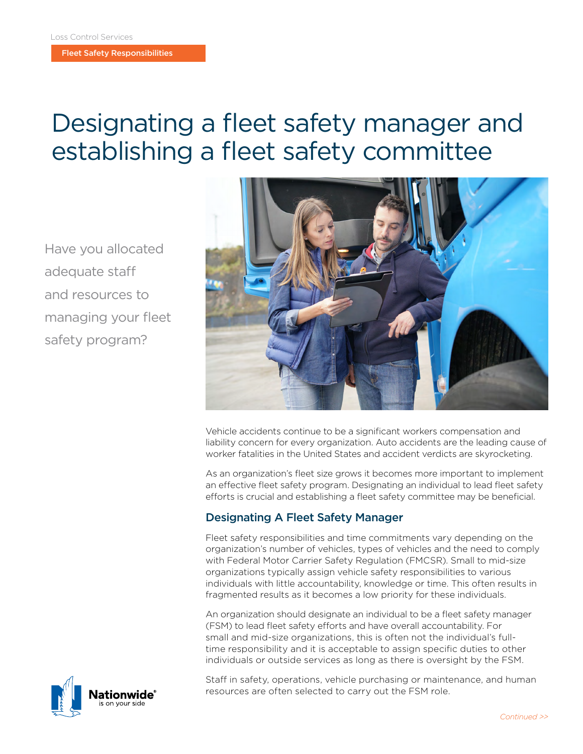Fleet Safety Responsibilities

# Designating a fleet safety manager and establishing a fleet safety committee

Have you allocated adequate staff and resources to managing your fleet safety program?



Vehicle accidents continue to be a significant workers compensation and liability concern for every organization. Auto accidents are the leading cause of worker fatalities in the United States and accident verdicts are skyrocketing.

As an organization's fleet size grows it becomes more important to implement an effective fleet safety program. Designating an individual to lead fleet safety efforts is crucial and establishing a fleet safety committee may be beneficial.

## Designating A Fleet Safety Manager

Fleet safety responsibilities and time commitments vary depending on the organization's number of vehicles, types of vehicles and the need to comply with Federal Motor Carrier Safety Regulation (FMCSR). Small to mid-size organizations typically assign vehicle safety responsibilities to various individuals with little accountability, knowledge or time. This often results in fragmented results as it becomes a low priority for these individuals.

An organization should designate an individual to be a fleet safety manager (FSM) to lead fleet safety efforts and have overall accountability. For small and mid-size organizations, this is often not the individual's fulltime responsibility and it is acceptable to assign specific duties to other individuals or outside services as long as there is oversight by the FSM.

Staff in safety, operations, vehicle purchasing or maintenance, and human resources are often selected to carry out the FSM role.

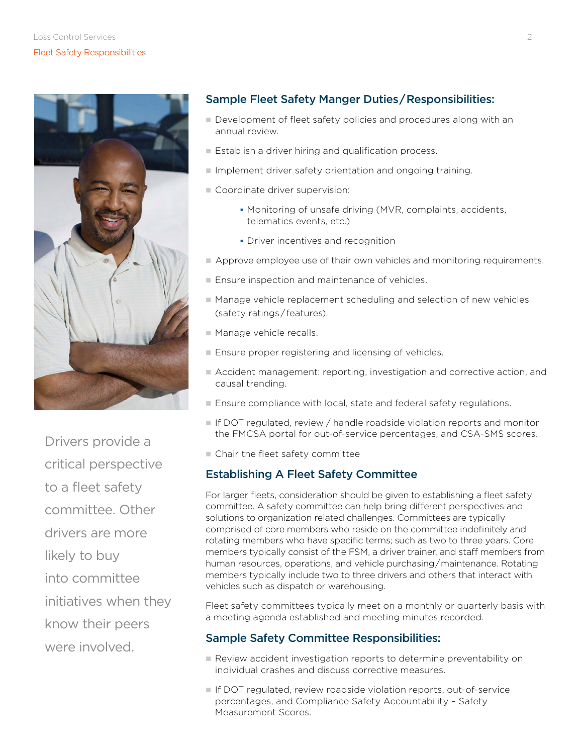

Drivers provide a critical perspective to a fleet safety committee. Other drivers are more likely to buy into committee initiatives when they know their peers were involved.

## Sample Fleet Safety Manger Duties / Responsibilities:

- Development of fleet safety policies and procedures along with an annual review.
- Establish a driver hiring and qualification process.
- Implement driver safety orientation and ongoing training.
- Coordinate driver supervision:
	- Monitoring of unsafe driving (MVR, complaints, accidents, telematics events, etc.)
	- **Driver incentives and recognition**
- Approve employee use of their own vehicles and monitoring requirements.
- Ensure inspection and maintenance of vehicles.
- Manage vehicle replacement scheduling and selection of new vehicles (safety ratings / features).
- **n** Manage vehicle recalls.
- $\blacksquare$  Ensure proper registering and licensing of vehicles.
- n Accident management: reporting, investigation and corrective action, and causal trending.
- Ensure compliance with local, state and federal safety regulations.
- **n** If DOT regulated, review / handle roadside violation reports and monitor the FMCSA portal for out-of-service percentages, and CSA-SMS scores.
- $\blacksquare$  Chair the fleet safety committee

### Establishing A Fleet Safety Committee

For larger fleets, consideration should be given to establishing a fleet safety committee. A safety committee can help bring different perspectives and solutions to organization related challenges. Committees are typically comprised of core members who reside on the committee indefinitely and rotating members who have specific terms; such as two to three years. Core members typically consist of the FSM, a driver trainer, and staff members from human resources, operations, and vehicle purchasing / maintenance. Rotating members typically include two to three drivers and others that interact with vehicles such as dispatch or warehousing.

Fleet safety committees typically meet on a monthly or quarterly basis with a meeting agenda established and meeting minutes recorded.

### Sample Safety Committee Responsibilities:

- Review accident investigation reports to determine preventability on individual crashes and discuss corrective measures.
- If DOT regulated, review roadside violation reports, out-of-service percentages, and Compliance Safety Accountability – Safety Measurement Scores.